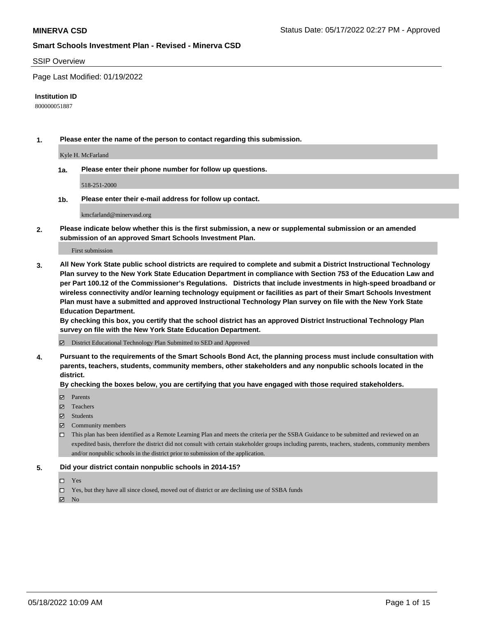#### SSIP Overview

Page Last Modified: 01/19/2022

#### **Institution ID**

800000051887

**1. Please enter the name of the person to contact regarding this submission.**

Kyle H. McFarland

**1a. Please enter their phone number for follow up questions.**

518-251-2000

**1b. Please enter their e-mail address for follow up contact.**

kmcfarland@minervasd.org

**2. Please indicate below whether this is the first submission, a new or supplemental submission or an amended submission of an approved Smart Schools Investment Plan.**

First submission

**3. All New York State public school districts are required to complete and submit a District Instructional Technology Plan survey to the New York State Education Department in compliance with Section 753 of the Education Law and per Part 100.12 of the Commissioner's Regulations. Districts that include investments in high-speed broadband or wireless connectivity and/or learning technology equipment or facilities as part of their Smart Schools Investment Plan must have a submitted and approved Instructional Technology Plan survey on file with the New York State Education Department.** 

**By checking this box, you certify that the school district has an approved District Instructional Technology Plan survey on file with the New York State Education Department.**

District Educational Technology Plan Submitted to SED and Approved

**4. Pursuant to the requirements of the Smart Schools Bond Act, the planning process must include consultation with parents, teachers, students, community members, other stakeholders and any nonpublic schools located in the district.** 

**By checking the boxes below, you are certifying that you have engaged with those required stakeholders.**

- $\blacksquare$  Parents
- Teachers
- Students
- $\Xi$  Community members
- This plan has been identified as a Remote Learning Plan and meets the criteria per the SSBA Guidance to be submitted and reviewed on an expedited basis, therefore the district did not consult with certain stakeholder groups including parents, teachers, students, community members and/or nonpublic schools in the district prior to submission of the application.

#### **5. Did your district contain nonpublic schools in 2014-15?**

- Yes
- $\Box$  Yes, but they have all since closed, moved out of district or are declining use of SSBA funds

 $\boxtimes$  No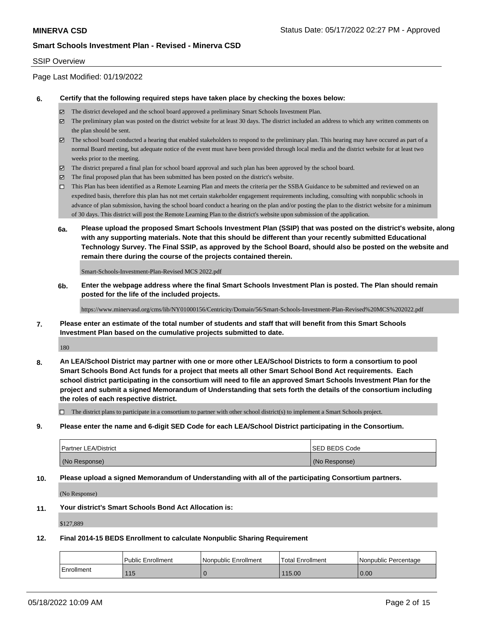### SSIP Overview

Page Last Modified: 01/19/2022

#### **6. Certify that the following required steps have taken place by checking the boxes below:**

- The district developed and the school board approved a preliminary Smart Schools Investment Plan.
- $\boxtimes$  The preliminary plan was posted on the district website for at least 30 days. The district included an address to which any written comments on the plan should be sent.
- $\boxtimes$  The school board conducted a hearing that enabled stakeholders to respond to the preliminary plan. This hearing may have occured as part of a normal Board meeting, but adequate notice of the event must have been provided through local media and the district website for at least two weeks prior to the meeting.
- The district prepared a final plan for school board approval and such plan has been approved by the school board.
- $\boxtimes$  The final proposed plan that has been submitted has been posted on the district's website.
- This Plan has been identified as a Remote Learning Plan and meets the criteria per the SSBA Guidance to be submitted and reviewed on an expedited basis, therefore this plan has not met certain stakeholder engagement requirements including, consulting with nonpublic schools in advance of plan submission, having the school board conduct a hearing on the plan and/or posting the plan to the district website for a minimum of 30 days. This district will post the Remote Learning Plan to the district's website upon submission of the application.
- **6a. Please upload the proposed Smart Schools Investment Plan (SSIP) that was posted on the district's website, along with any supporting materials. Note that this should be different than your recently submitted Educational Technology Survey. The Final SSIP, as approved by the School Board, should also be posted on the website and remain there during the course of the projects contained therein.**

Smart-Schools-Investment-Plan-Revised MCS 2022.pdf

**6b. Enter the webpage address where the final Smart Schools Investment Plan is posted. The Plan should remain posted for the life of the included projects.**

https://www.minervasd.org/cms/lib/NY01000156/Centricity/Domain/56/Smart-Schools-Investment-Plan-Revised%20MCS%202022.pdf

**7. Please enter an estimate of the total number of students and staff that will benefit from this Smart Schools Investment Plan based on the cumulative projects submitted to date.**

180

**8. An LEA/School District may partner with one or more other LEA/School Districts to form a consortium to pool Smart Schools Bond Act funds for a project that meets all other Smart School Bond Act requirements. Each school district participating in the consortium will need to file an approved Smart Schools Investment Plan for the project and submit a signed Memorandum of Understanding that sets forth the details of the consortium including the roles of each respective district.**

 $\Box$  The district plans to participate in a consortium to partner with other school district(s) to implement a Smart Schools project.

**9. Please enter the name and 6-digit SED Code for each LEA/School District participating in the Consortium.**

| <b>Partner LEA/District</b> | <b>ISED BEDS Code</b> |
|-----------------------------|-----------------------|
| (No Response)               | (No Response)         |

#### **10. Please upload a signed Memorandum of Understanding with all of the participating Consortium partners.**

(No Response)

#### **11. Your district's Smart Schools Bond Act Allocation is:**

\$127,889

#### **12. Final 2014-15 BEDS Enrollment to calculate Nonpublic Sharing Requirement**

|            | Public Enrollment | l Nonpublic Enrollment | <sup>1</sup> Total Enrollment | l Nonpublic Percentage |
|------------|-------------------|------------------------|-------------------------------|------------------------|
| Enrollment | 115               |                        | 115.00                        | 0.00                   |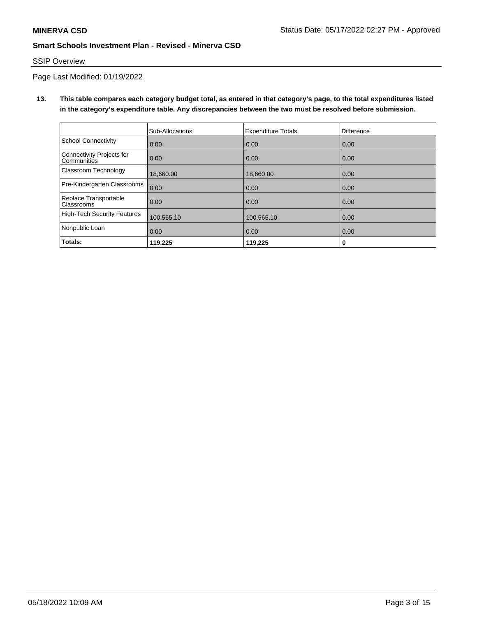## SSIP Overview

Page Last Modified: 01/19/2022

**13. This table compares each category budget total, as entered in that category's page, to the total expenditures listed in the category's expenditure table. Any discrepancies between the two must be resolved before submission.**

|                                            | Sub-Allocations | <b>Expenditure Totals</b> | <b>Difference</b> |
|--------------------------------------------|-----------------|---------------------------|-------------------|
| <b>School Connectivity</b>                 | 0.00            | 0.00                      | 0.00              |
| Connectivity Projects for<br>Communities   | 0.00            | 0.00                      | 0.00              |
| Classroom Technology                       | 18,660.00       | 18,660.00                 | 0.00              |
| Pre-Kindergarten Classrooms                | 0.00            | 0.00                      | 0.00              |
| Replace Transportable<br><b>Classrooms</b> | 0.00            | 0.00                      | 0.00              |
| High-Tech Security Features                | 100,565.10      | 100,565.10                | 0.00              |
| Nonpublic Loan                             | 0.00            | 0.00                      | 0.00              |
| Totals:                                    | 119,225         | 119,225                   | 0                 |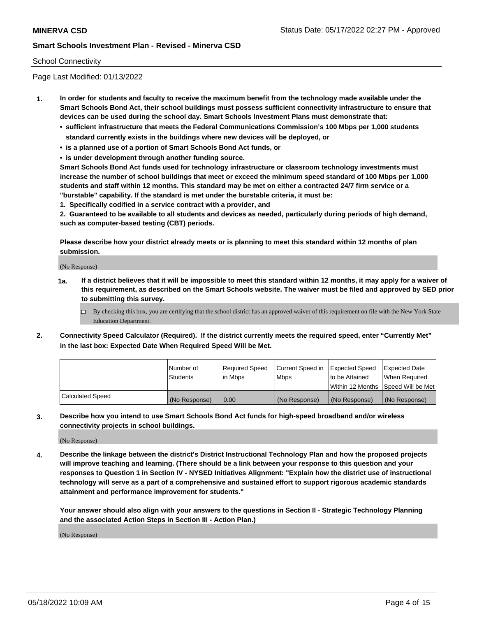### School Connectivity

Page Last Modified: 01/13/2022

- **1. In order for students and faculty to receive the maximum benefit from the technology made available under the Smart Schools Bond Act, their school buildings must possess sufficient connectivity infrastructure to ensure that devices can be used during the school day. Smart Schools Investment Plans must demonstrate that:**
	- **• sufficient infrastructure that meets the Federal Communications Commission's 100 Mbps per 1,000 students standard currently exists in the buildings where new devices will be deployed, or**
	- **• is a planned use of a portion of Smart Schools Bond Act funds, or**
	- **• is under development through another funding source.**

**Smart Schools Bond Act funds used for technology infrastructure or classroom technology investments must increase the number of school buildings that meet or exceed the minimum speed standard of 100 Mbps per 1,000 students and staff within 12 months. This standard may be met on either a contracted 24/7 firm service or a "burstable" capability. If the standard is met under the burstable criteria, it must be:**

**1. Specifically codified in a service contract with a provider, and**

**2. Guaranteed to be available to all students and devices as needed, particularly during periods of high demand, such as computer-based testing (CBT) periods.**

**Please describe how your district already meets or is planning to meet this standard within 12 months of plan submission.**

(No Response)

- **1a. If a district believes that it will be impossible to meet this standard within 12 months, it may apply for a waiver of this requirement, as described on the Smart Schools website. The waiver must be filed and approved by SED prior to submitting this survey.**
	- By checking this box, you are certifying that the school district has an approved waiver of this requirement on file with the New York State Education Department.
- **2. Connectivity Speed Calculator (Required). If the district currently meets the required speed, enter "Currently Met" in the last box: Expected Date When Required Speed Will be Met.**

|                  | l Number of     | Required Speed | Current Speed in Expected Speed |                                    | Expected Date |
|------------------|-----------------|----------------|---------------------------------|------------------------------------|---------------|
|                  | <b>Students</b> | l in Mbps      | <b>Mbps</b>                     | to be Attained                     | When Reauired |
|                  |                 |                |                                 | Within 12 Months Speed Will be Met |               |
| Calculated Speed | (No Response)   | 0.00           | (No Response)                   | (No Response)                      | (No Response) |

**3. Describe how you intend to use Smart Schools Bond Act funds for high-speed broadband and/or wireless connectivity projects in school buildings.**

(No Response)

**4. Describe the linkage between the district's District Instructional Technology Plan and how the proposed projects will improve teaching and learning. (There should be a link between your response to this question and your responses to Question 1 in Section IV - NYSED Initiatives Alignment: "Explain how the district use of instructional technology will serve as a part of a comprehensive and sustained effort to support rigorous academic standards attainment and performance improvement for students."** 

**Your answer should also align with your answers to the questions in Section II - Strategic Technology Planning and the associated Action Steps in Section III - Action Plan.)**

(No Response)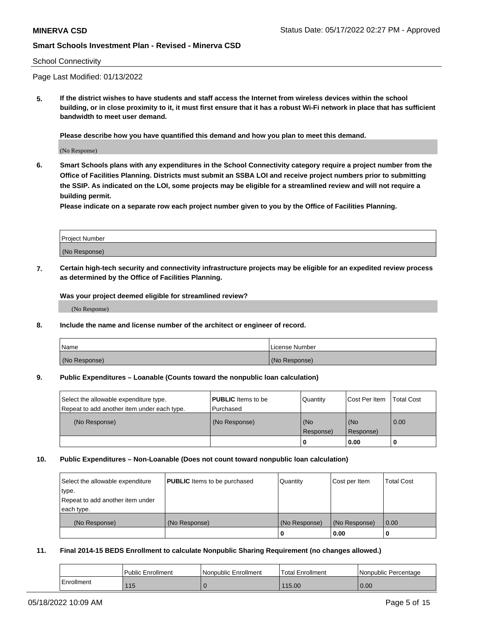### School Connectivity

Page Last Modified: 01/13/2022

**5. If the district wishes to have students and staff access the Internet from wireless devices within the school building, or in close proximity to it, it must first ensure that it has a robust Wi-Fi network in place that has sufficient bandwidth to meet user demand.**

**Please describe how you have quantified this demand and how you plan to meet this demand.**

(No Response)

**6. Smart Schools plans with any expenditures in the School Connectivity category require a project number from the Office of Facilities Planning. Districts must submit an SSBA LOI and receive project numbers prior to submitting the SSIP. As indicated on the LOI, some projects may be eligible for a streamlined review and will not require a building permit.**

**Please indicate on a separate row each project number given to you by the Office of Facilities Planning.**

| Project Number   |  |
|------------------|--|
| (No<br>Response) |  |

**7. Certain high-tech security and connectivity infrastructure projects may be eligible for an expedited review process as determined by the Office of Facilities Planning.**

**Was your project deemed eligible for streamlined review?**

(No Response)

#### **8. Include the name and license number of the architect or engineer of record.**

| Name          | I License Number |
|---------------|------------------|
| (No Response) | (No Response)    |

#### **9. Public Expenditures – Loanable (Counts toward the nonpublic loan calculation)**

| Select the allowable expenditure type.<br>Repeat to add another item under each type. | <b>PUBLIC</b> Items to be<br>l Purchased | Quantity         | Cost Per Item    | <b>Total Cost</b> |
|---------------------------------------------------------------------------------------|------------------------------------------|------------------|------------------|-------------------|
| (No Response)                                                                         | (No Response)                            | (No<br>Response) | (No<br>Response) | $\overline{0.00}$ |
|                                                                                       |                                          | -0               | 0.00             |                   |

### **10. Public Expenditures – Non-Loanable (Does not count toward nonpublic loan calculation)**

| Select the allowable expenditure | <b>PUBLIC</b> Items to be purchased | Quantity      | Cost per Item | <b>Total Cost</b> |
|----------------------------------|-------------------------------------|---------------|---------------|-------------------|
| type.                            |                                     |               |               |                   |
| Repeat to add another item under |                                     |               |               |                   |
| each type.                       |                                     |               |               |                   |
| (No Response)                    | (No Response)                       | (No Response) | (No Response) | 0.00              |
|                                  |                                     | U             | 0.00          |                   |

#### **11. Final 2014-15 BEDS Enrollment to calculate Nonpublic Sharing Requirement (no changes allowed.)**

|            | Public Enrollment | Nonpublic Enrollment | Total Enrollment | Nonpublic Percentage |
|------------|-------------------|----------------------|------------------|----------------------|
| Enrollment | 115               |                      | 115.00           | 0.00                 |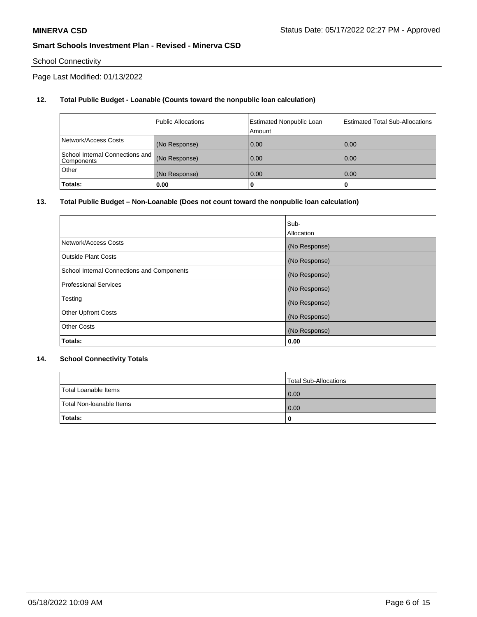# School Connectivity

Page Last Modified: 01/13/2022

# **12. Total Public Budget - Loanable (Counts toward the nonpublic loan calculation)**

|                                                 | <b>Public Allocations</b> | <b>Estimated Nonpublic Loan</b><br>Amount | <b>Estimated Total Sub-Allocations</b> |
|-------------------------------------------------|---------------------------|-------------------------------------------|----------------------------------------|
| Network/Access Costs                            | (No Response)             | 0.00                                      | 0.00                                   |
| School Internal Connections and  <br>Components | (No Response)             | 0.00                                      | 0.00                                   |
| Other                                           | (No Response)             | 0.00                                      | 0.00                                   |
| Totals:                                         | 0.00                      |                                           | 0                                      |

### **13. Total Public Budget – Non-Loanable (Does not count toward the nonpublic loan calculation)**

|                                            | Sub-          |
|--------------------------------------------|---------------|
|                                            | Allocation    |
| Network/Access Costs                       | (No Response) |
| <b>Outside Plant Costs</b>                 | (No Response) |
| School Internal Connections and Components | (No Response) |
| Professional Services                      | (No Response) |
| Testing                                    | (No Response) |
| <b>Other Upfront Costs</b>                 | (No Response) |
| <b>Other Costs</b>                         | (No Response) |
| Totals:                                    | 0.00          |

### **14. School Connectivity Totals**

|                          | Total Sub-Allocations |
|--------------------------|-----------------------|
| Total Loanable Items     | 0.00                  |
| Total Non-Ioanable Items | 0.00                  |
| Totals:                  | 0                     |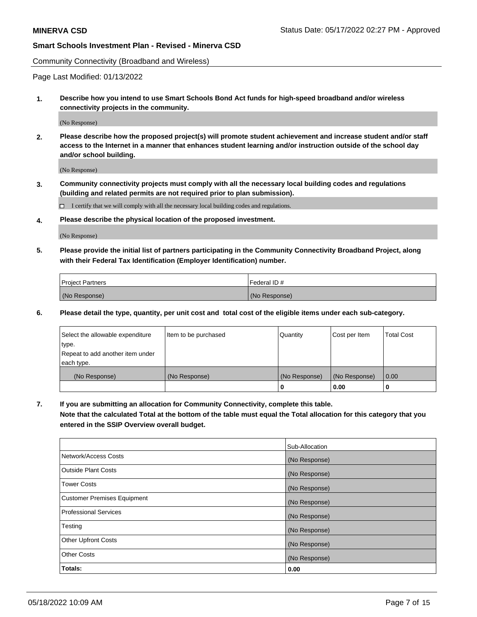Community Connectivity (Broadband and Wireless)

Page Last Modified: 01/13/2022

**1. Describe how you intend to use Smart Schools Bond Act funds for high-speed broadband and/or wireless connectivity projects in the community.**

(No Response)

**2. Please describe how the proposed project(s) will promote student achievement and increase student and/or staff access to the Internet in a manner that enhances student learning and/or instruction outside of the school day and/or school building.**

(No Response)

**3. Community connectivity projects must comply with all the necessary local building codes and regulations (building and related permits are not required prior to plan submission).**

 $\Box$  I certify that we will comply with all the necessary local building codes and regulations.

**4. Please describe the physical location of the proposed investment.**

(No Response)

**5. Please provide the initial list of partners participating in the Community Connectivity Broadband Project, along with their Federal Tax Identification (Employer Identification) number.**

| <b>Project Partners</b> | Federal ID#   |
|-------------------------|---------------|
| (No Response)           | (No Response) |

**6. Please detail the type, quantity, per unit cost and total cost of the eligible items under each sub-category.**

| Select the allowable expenditure          | Item to be purchased | Quantity      | Cost per Item | <b>Total Cost</b> |
|-------------------------------------------|----------------------|---------------|---------------|-------------------|
| type.<br>Repeat to add another item under |                      |               |               |                   |
| each type.                                |                      |               |               |                   |
| (No Response)                             | (No Response)        | (No Response) | (No Response) | 0.00              |
|                                           |                      | 0             | 0.00          |                   |

**7. If you are submitting an allocation for Community Connectivity, complete this table.**

**Note that the calculated Total at the bottom of the table must equal the Total allocation for this category that you entered in the SSIP Overview overall budget.**

|                              | Sub-Allocation |
|------------------------------|----------------|
| Network/Access Costs         | (No Response)  |
| Outside Plant Costs          | (No Response)  |
| Tower Costs                  | (No Response)  |
| Customer Premises Equipment  | (No Response)  |
| <b>Professional Services</b> | (No Response)  |
| Testing                      | (No Response)  |
| <b>Other Upfront Costs</b>   | (No Response)  |
| <b>Other Costs</b>           | (No Response)  |
| Totals:                      | 0.00           |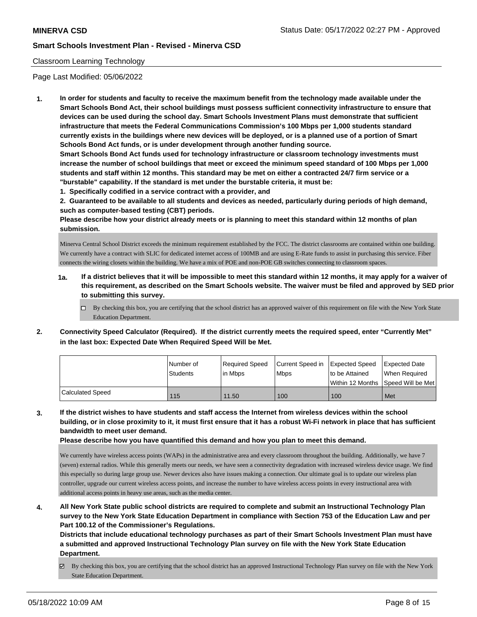### Classroom Learning Technology

Page Last Modified: 05/06/2022

**1. In order for students and faculty to receive the maximum benefit from the technology made available under the Smart Schools Bond Act, their school buildings must possess sufficient connectivity infrastructure to ensure that devices can be used during the school day. Smart Schools Investment Plans must demonstrate that sufficient infrastructure that meets the Federal Communications Commission's 100 Mbps per 1,000 students standard currently exists in the buildings where new devices will be deployed, or is a planned use of a portion of Smart Schools Bond Act funds, or is under development through another funding source.**

**Smart Schools Bond Act funds used for technology infrastructure or classroom technology investments must increase the number of school buildings that meet or exceed the minimum speed standard of 100 Mbps per 1,000 students and staff within 12 months. This standard may be met on either a contracted 24/7 firm service or a "burstable" capability. If the standard is met under the burstable criteria, it must be:**

**1. Specifically codified in a service contract with a provider, and**

**2. Guaranteed to be available to all students and devices as needed, particularly during periods of high demand, such as computer-based testing (CBT) periods.**

**Please describe how your district already meets or is planning to meet this standard within 12 months of plan submission.**

Minerva Central School District exceeds the minimum requirement established by the FCC. The district classrooms are contained within one building. We currently have a contract with SLIC for dedicated internet access of 100MB and are using E-Rate funds to assist in purchasing this service. Fiber connects the wiring closets within the building. We have a mix of POE and non-POE GB switches connecting to classroom spaces.

- **1a. If a district believes that it will be impossible to meet this standard within 12 months, it may apply for a waiver of this requirement, as described on the Smart Schools website. The waiver must be filed and approved by SED prior to submitting this survey.**
	- By checking this box, you are certifying that the school district has an approved waiver of this requirement on file with the New York State Education Department.
- **2. Connectivity Speed Calculator (Required). If the district currently meets the required speed, enter "Currently Met" in the last box: Expected Date When Required Speed Will be Met.**

|                  | I Number of<br><b>Students</b> | Required Speed<br>lin Mbps | Current Speed in Expected Speed<br><b>Mbps</b> | to be Attained<br>Within 12 Months Speed Will be Met | <b>Expected Date</b><br>When Required |
|------------------|--------------------------------|----------------------------|------------------------------------------------|------------------------------------------------------|---------------------------------------|
| Calculated Speed | 115                            | 11.50                      | 100                                            | 100                                                  | Met                                   |

**3. If the district wishes to have students and staff access the Internet from wireless devices within the school building, or in close proximity to it, it must first ensure that it has a robust Wi-Fi network in place that has sufficient bandwidth to meet user demand.**

**Please describe how you have quantified this demand and how you plan to meet this demand.**

We currently have wireless access points (WAPs) in the administrative area and every classroom throughout the building. Additionally, we have 7 (seven) external radios. While this generally meets our needs, we have seen a connectivity degradation with increased wireless device usage. We find this especially so during large group use. Newer devices also have issues making a connection. Our ultimate goal is to update our wireless plan controller, upgrade our current wireless access points, and increase the number to have wireless access points in every instructional area with additional access points in heavy use areas, such as the media center.

**4. All New York State public school districts are required to complete and submit an Instructional Technology Plan survey to the New York State Education Department in compliance with Section 753 of the Education Law and per Part 100.12 of the Commissioner's Regulations.**

**Districts that include educational technology purchases as part of their Smart Schools Investment Plan must have a submitted and approved Instructional Technology Plan survey on file with the New York State Education Department.**

By checking this box, you are certifying that the school district has an approved Instructional Technology Plan survey on file with the New York State Education Department.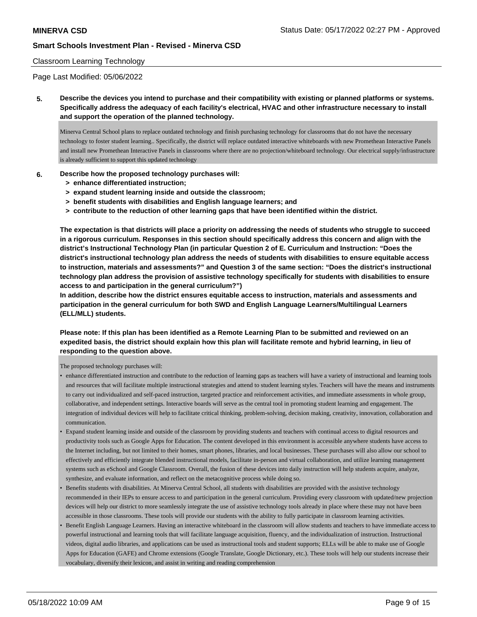### Classroom Learning Technology

Page Last Modified: 05/06/2022

**5. Describe the devices you intend to purchase and their compatibility with existing or planned platforms or systems. Specifically address the adequacy of each facility's electrical, HVAC and other infrastructure necessary to install and support the operation of the planned technology.**

Minerva Central School plans to replace outdated technology and finish purchasing technology for classrooms that do not have the necessary technology to foster student learning.. Specifically, the district will replace outdated interactive whiteboards with new Promethean Interactive Panels and install new Promethean Interactive Panels in classrooms where there are no projection/whiteboard technology. Our electrical supply/infrastructure is already sufficient to support this updated technology

### **6. Describe how the proposed technology purchases will:**

- **> enhance differentiated instruction;**
- **> expand student learning inside and outside the classroom;**
- **> benefit students with disabilities and English language learners; and**
- **> contribute to the reduction of other learning gaps that have been identified within the district.**

**The expectation is that districts will place a priority on addressing the needs of students who struggle to succeed in a rigorous curriculum. Responses in this section should specifically address this concern and align with the district's Instructional Technology Plan (in particular Question 2 of E. Curriculum and Instruction: "Does the district's instructional technology plan address the needs of students with disabilities to ensure equitable access to instruction, materials and assessments?" and Question 3 of the same section: "Does the district's instructional technology plan address the provision of assistive technology specifically for students with disabilities to ensure access to and participation in the general curriculum?")**

**In addition, describe how the district ensures equitable access to instruction, materials and assessments and participation in the general curriculum for both SWD and English Language Learners/Multilingual Learners (ELL/MLL) students.**

### **Please note: If this plan has been identified as a Remote Learning Plan to be submitted and reviewed on an expedited basis, the district should explain how this plan will facilitate remote and hybrid learning, in lieu of responding to the question above.**

The proposed technology purchases will:

- enhance differentiated instruction and contribute to the reduction of learning gaps as teachers will have a variety of instructional and learning tools and resources that will facilitate multiple instructional strategies and attend to student learning styles. Teachers will have the means and instruments to carry out individualized and self-paced instruction, targeted practice and reinforcement activities, and immediate assessments in whole group, collaborative, and independent settings. Interactive boards will serve as the central tool in promoting student learning and engagement. The integration of individual devices will help to facilitate critical thinking, problem-solving, decision making, creativity, innovation, collaboration and communication.
- Expand student learning inside and outside of the classroom by providing students and teachers with continual access to digital resources and productivity tools such as Google Apps for Education. The content developed in this environment is accessible anywhere students have access to the Internet including, but not limited to their homes, smart phones, libraries, and local businesses. These purchases will also allow our school to effectively and efficiently integrate blended instructional models, facilitate in-person and virtual collaboration, and utilize learning management systems such as eSchool and Google Classroom. Overall, the fusion of these devices into daily instruction will help students acquire, analyze, synthesize, and evaluate information, and reflect on the metacognitive process while doing so.
- Benefits students with disabilities. At Minerva Central School, all students with disabilities are provided with the assistive technology recommended in their IEPs to ensure access to and participation in the general curriculum. Providing every classroom with updated/new projection devices will help our district to more seamlessly integrate the use of assistive technology tools already in place where these may not have been accessible in those classrooms. These tools will provide our students with the ability to fully participate in classroom learning activities.
- Benefit English Language Learners. Having an interactive whiteboard in the classroom will allow students and teachers to have immediate access to powerful instructional and learning tools that will facilitate language acquisition, fluency, and the individualization of instruction. Instructional videos, digital audio libraries, and applications can be used as instructional tools and student supports; ELLs will be able to make use of Google Apps for Education (GAFE) and Chrome extensions (Google Translate, Google Dictionary, etc.). These tools will help our students increase their vocabulary, diversify their lexicon, and assist in writing and reading comprehension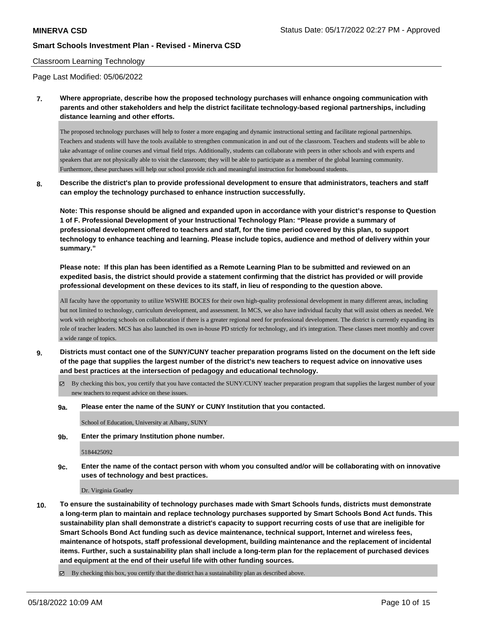### Classroom Learning Technology

Page Last Modified: 05/06/2022

**7. Where appropriate, describe how the proposed technology purchases will enhance ongoing communication with parents and other stakeholders and help the district facilitate technology-based regional partnerships, including distance learning and other efforts.**

The proposed technology purchases will help to foster a more engaging and dynamic instructional setting and facilitate regional partnerships. Teachers and students will have the tools available to strengthen communication in and out of the classroom. Teachers and students will be able to take advantage of online courses and virtual field trips. Additionally, students can collaborate with peers in other schools and with experts and speakers that are not physically able to visit the classroom; they will be able to participate as a member of the global learning community. Furthermore, these purchases will help our school provide rich and meaningful instruction for homebound students.

**8. Describe the district's plan to provide professional development to ensure that administrators, teachers and staff can employ the technology purchased to enhance instruction successfully.**

**Note: This response should be aligned and expanded upon in accordance with your district's response to Question 1 of F. Professional Development of your Instructional Technology Plan: "Please provide a summary of professional development offered to teachers and staff, for the time period covered by this plan, to support technology to enhance teaching and learning. Please include topics, audience and method of delivery within your summary."**

**Please note: If this plan has been identified as a Remote Learning Plan to be submitted and reviewed on an expedited basis, the district should provide a statement confirming that the district has provided or will provide professional development on these devices to its staff, in lieu of responding to the question above.**

All faculty have the opportunity to utilize WSWHE BOCES for their own high-quality professional development in many different areas, including but not limited to technology, curriculum development, and assessment. In MCS, we also have individual faculty that will assist others as needed. We work with neighboring schools on collaboration if there is a greater regional need for professional development. The district is currently expanding its role of teacher leaders. MCS has also launched its own in-house PD strictly for technology, and it's integration. These classes meet monthly and cover a wide range of topics.

- **9. Districts must contact one of the SUNY/CUNY teacher preparation programs listed on the document on the left side of the page that supplies the largest number of the district's new teachers to request advice on innovative uses and best practices at the intersection of pedagogy and educational technology.**
	- By checking this box, you certify that you have contacted the SUNY/CUNY teacher preparation program that supplies the largest number of your new teachers to request advice on these issues.
	- **9a. Please enter the name of the SUNY or CUNY Institution that you contacted.**

School of Education, University at Albany, SUNY

**9b. Enter the primary Institution phone number.**

#### 5184425092

**9c. Enter the name of the contact person with whom you consulted and/or will be collaborating with on innovative uses of technology and best practices.**

Dr. Virginia Goatley

**10. To ensure the sustainability of technology purchases made with Smart Schools funds, districts must demonstrate a long-term plan to maintain and replace technology purchases supported by Smart Schools Bond Act funds. This sustainability plan shall demonstrate a district's capacity to support recurring costs of use that are ineligible for Smart Schools Bond Act funding such as device maintenance, technical support, Internet and wireless fees, maintenance of hotspots, staff professional development, building maintenance and the replacement of incidental items. Further, such a sustainability plan shall include a long-term plan for the replacement of purchased devices and equipment at the end of their useful life with other funding sources.**

By checking this box, you certify that the district has a sustainability plan as described above.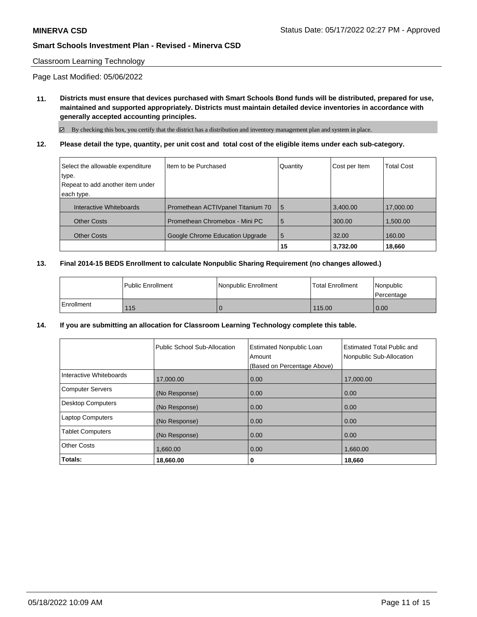### Classroom Learning Technology

Page Last Modified: 05/06/2022

**11. Districts must ensure that devices purchased with Smart Schools Bond funds will be distributed, prepared for use, maintained and supported appropriately. Districts must maintain detailed device inventories in accordance with generally accepted accounting principles.**

By checking this box, you certify that the district has a distribution and inventory management plan and system in place.

**12. Please detail the type, quantity, per unit cost and total cost of the eligible items under each sub-category.**

| Select the allowable expenditure | Iltem to be Purchased              | Quantity | Cost per Item | <b>Total Cost</b> |
|----------------------------------|------------------------------------|----------|---------------|-------------------|
| type.                            |                                    |          |               |                   |
| Repeat to add another item under |                                    |          |               |                   |
| each type.                       |                                    |          |               |                   |
| Interactive Whiteboards          | Promethean ACTIV panel Titanium 70 | 5        | 3,400.00      | 17,000.00         |
| <b>Other Costs</b>               | Promethean Chromebox - Mini PC     | 5        | 300.00        | 1,500.00          |
| <b>Other Costs</b>               | Google Chrome Education Upgrade    | 5        | 32.00         | 160.00            |
|                                  |                                    | 15       | 3,732.00      | 18,660            |

#### **13. Final 2014-15 BEDS Enrollment to calculate Nonpublic Sharing Requirement (no changes allowed.)**

|              | l Public Enrollment | Nonpublic Enrollment | <b>Total Enrollment</b> | <i>Nonpublic</i><br><b>Percentage</b> |
|--------------|---------------------|----------------------|-------------------------|---------------------------------------|
| l Enrollment | 115                 |                      | 115.00                  | 0.00                                  |

**14. If you are submitting an allocation for Classroom Learning Technology complete this table.**

|                          | Public School Sub-Allocation | <b>Estimated Nonpublic Loan</b><br>Amount<br>(Based on Percentage Above) | Estimated Total Public and<br>Nonpublic Sub-Allocation |
|--------------------------|------------------------------|--------------------------------------------------------------------------|--------------------------------------------------------|
| Interactive Whiteboards  | 17,000.00                    | 0.00                                                                     | 17,000.00                                              |
| <b>Computer Servers</b>  | (No Response)                | 0.00                                                                     | 0.00                                                   |
| <b>Desktop Computers</b> | (No Response)                | 0.00                                                                     | 0.00                                                   |
| <b>Laptop Computers</b>  | (No Response)                | 0.00                                                                     | 0.00                                                   |
| <b>Tablet Computers</b>  | (No Response)                | 0.00                                                                     | 0.00                                                   |
| <b>Other Costs</b>       | 1.660.00                     | 0.00                                                                     | 1,660.00                                               |
| Totals:                  | 18,660.00                    | 0                                                                        | 18,660                                                 |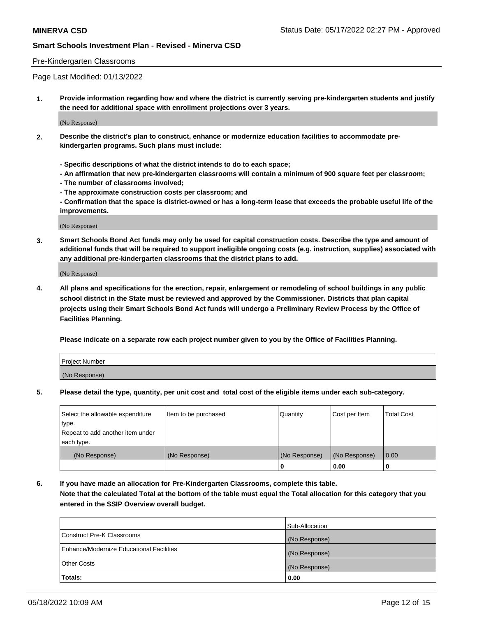### Pre-Kindergarten Classrooms

Page Last Modified: 01/13/2022

**1. Provide information regarding how and where the district is currently serving pre-kindergarten students and justify the need for additional space with enrollment projections over 3 years.**

(No Response)

- **2. Describe the district's plan to construct, enhance or modernize education facilities to accommodate prekindergarten programs. Such plans must include:**
	- **Specific descriptions of what the district intends to do to each space;**
	- **An affirmation that new pre-kindergarten classrooms will contain a minimum of 900 square feet per classroom;**
	- **The number of classrooms involved;**
	- **The approximate construction costs per classroom; and**
	- **Confirmation that the space is district-owned or has a long-term lease that exceeds the probable useful life of the improvements.**

(No Response)

**3. Smart Schools Bond Act funds may only be used for capital construction costs. Describe the type and amount of additional funds that will be required to support ineligible ongoing costs (e.g. instruction, supplies) associated with any additional pre-kindergarten classrooms that the district plans to add.**

(No Response)

**4. All plans and specifications for the erection, repair, enlargement or remodeling of school buildings in any public school district in the State must be reviewed and approved by the Commissioner. Districts that plan capital projects using their Smart Schools Bond Act funds will undergo a Preliminary Review Process by the Office of Facilities Planning.**

**Please indicate on a separate row each project number given to you by the Office of Facilities Planning.**

| Project Number |  |
|----------------|--|
| (No Response)  |  |

**5. Please detail the type, quantity, per unit cost and total cost of the eligible items under each sub-category.**

| Select the allowable expenditure | Item to be purchased | Quantity      | Cost per Item | <b>Total Cost</b> |
|----------------------------------|----------------------|---------------|---------------|-------------------|
| type.                            |                      |               |               |                   |
| Repeat to add another item under |                      |               |               |                   |
| each type.                       |                      |               |               |                   |
| (No Response)                    | (No Response)        | (No Response) | (No Response) | 0.00              |
|                                  |                      | 0             | 0.00          |                   |

**6. If you have made an allocation for Pre-Kindergarten Classrooms, complete this table.**

**Note that the calculated Total at the bottom of the table must equal the Total allocation for this category that you entered in the SSIP Overview overall budget.**

|                                          | Sub-Allocation |
|------------------------------------------|----------------|
| Construct Pre-K Classrooms               | (No Response)  |
| Enhance/Modernize Educational Facilities | (No Response)  |
| <b>Other Costs</b>                       | (No Response)  |
| Totals:                                  | 0.00           |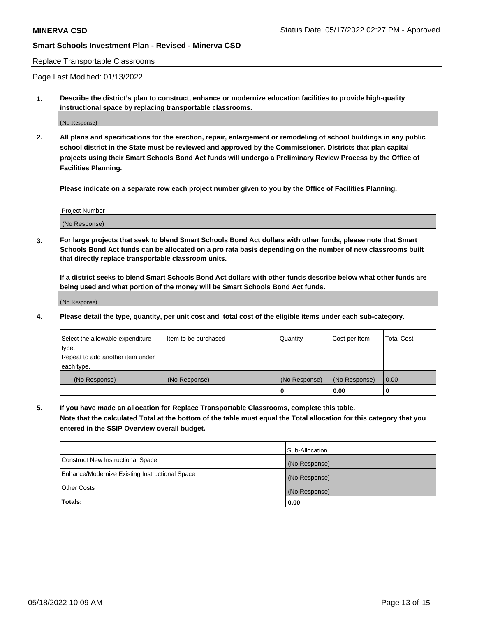#### Replace Transportable Classrooms

Page Last Modified: 01/13/2022

**1. Describe the district's plan to construct, enhance or modernize education facilities to provide high-quality instructional space by replacing transportable classrooms.**

(No Response)

**2. All plans and specifications for the erection, repair, enlargement or remodeling of school buildings in any public school district in the State must be reviewed and approved by the Commissioner. Districts that plan capital projects using their Smart Schools Bond Act funds will undergo a Preliminary Review Process by the Office of Facilities Planning.**

**Please indicate on a separate row each project number given to you by the Office of Facilities Planning.**

| <b>Project Number</b> |  |
|-----------------------|--|
| (No Response)         |  |

**3. For large projects that seek to blend Smart Schools Bond Act dollars with other funds, please note that Smart Schools Bond Act funds can be allocated on a pro rata basis depending on the number of new classrooms built that directly replace transportable classroom units.**

**If a district seeks to blend Smart Schools Bond Act dollars with other funds describe below what other funds are being used and what portion of the money will be Smart Schools Bond Act funds.**

(No Response)

**4. Please detail the type, quantity, per unit cost and total cost of the eligible items under each sub-category.**

| Select the allowable expenditure | Item to be purchased | Quantity      | Cost per Item | <b>Total Cost</b> |
|----------------------------------|----------------------|---------------|---------------|-------------------|
| type.                            |                      |               |               |                   |
| Repeat to add another item under |                      |               |               |                   |
| each type.                       |                      |               |               |                   |
| (No Response)                    | (No Response)        | (No Response) | (No Response) | 0.00              |
|                                  |                      | U             | 0.00          |                   |

**5. If you have made an allocation for Replace Transportable Classrooms, complete this table.**

**Note that the calculated Total at the bottom of the table must equal the Total allocation for this category that you entered in the SSIP Overview overall budget.**

|                                                | Sub-Allocation |
|------------------------------------------------|----------------|
| Construct New Instructional Space              | (No Response)  |
| Enhance/Modernize Existing Instructional Space | (No Response)  |
| <b>Other Costs</b>                             | (No Response)  |
| Totals:                                        | 0.00           |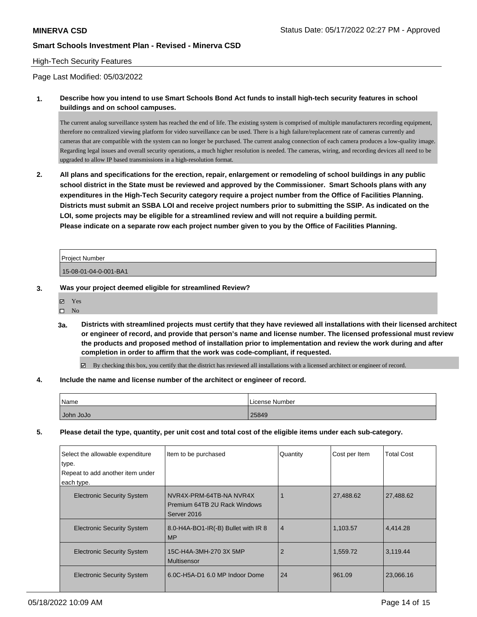### High-Tech Security Features

Page Last Modified: 05/03/2022

**1. Describe how you intend to use Smart Schools Bond Act funds to install high-tech security features in school buildings and on school campuses.**

The current analog surveillance system has reached the end of life. The existing system is comprised of multiple manufacturers recording equipment, therefore no centralized viewing platform for video surveillance can be used. There is a high failure/replacement rate of cameras currently and cameras that are compatible with the system can no longer be purchased. The current analog connection of each camera produces a low-quality image. Regarding legal issues and overall security operations, a much higher resolution is needed. The cameras, wiring, and recording devices all need to be upgraded to allow IP based transmissions in a high-resolution format.

**2. All plans and specifications for the erection, repair, enlargement or remodeling of school buildings in any public school district in the State must be reviewed and approved by the Commissioner. Smart Schools plans with any expenditures in the High-Tech Security category require a project number from the Office of Facilities Planning. Districts must submit an SSBA LOI and receive project numbers prior to submitting the SSIP. As indicated on the LOI, some projects may be eligible for a streamlined review and will not require a building permit. Please indicate on a separate row each project number given to you by the Office of Facilities Planning.**

| Project Number        |  |
|-----------------------|--|
| 15-08-01-04-0-001-BA1 |  |

**3. Was your project deemed eligible for streamlined Review?**

Yes  $\square$  No

**3a. Districts with streamlined projects must certify that they have reviewed all installations with their licensed architect or engineer of record, and provide that person's name and license number. The licensed professional must review the products and proposed method of installation prior to implementation and review the work during and after completion in order to affirm that the work was code-compliant, if requested.**

By checking this box, you certify that the district has reviewed all installations with a licensed architect or engineer of record.

#### **4. Include the name and license number of the architect or engineer of record.**

| Name      | License Number |
|-----------|----------------|
| John JoJo | 25849          |

**5. Please detail the type, quantity, per unit cost and total cost of the eligible items under each sub-category.**

| Select the allowable expenditure<br>type.<br>Repeat to add another item under<br>each type. | Item to be purchased                                                   | Quantity       | Cost per Item | <b>Total Cost</b> |
|---------------------------------------------------------------------------------------------|------------------------------------------------------------------------|----------------|---------------|-------------------|
| <b>Electronic Security System</b>                                                           | NVR4X-PRM-64TB-NA NVR4X<br>Premium 64TB 2U Rack Windows<br>Server 2016 |                | 27,488.62     | 27,488.62         |
| <b>Electronic Security System</b>                                                           | 8.0-H4A-BO1-IR(-B) Bullet with IR 8<br><b>MP</b>                       | $\overline{4}$ | 1,103.57      | 4,414.28          |
| <b>Electronic Security System</b>                                                           | 15C-H4A-3MH-270 3X 5MP<br><b>Multisensor</b>                           | $\overline{2}$ | 1,559.72      | 3,119.44          |
| <b>Electronic Security System</b>                                                           | 6.0C-H5A-D1 6.0 MP Indoor Dome                                         | 24             | 961.09        | 23,066.16         |